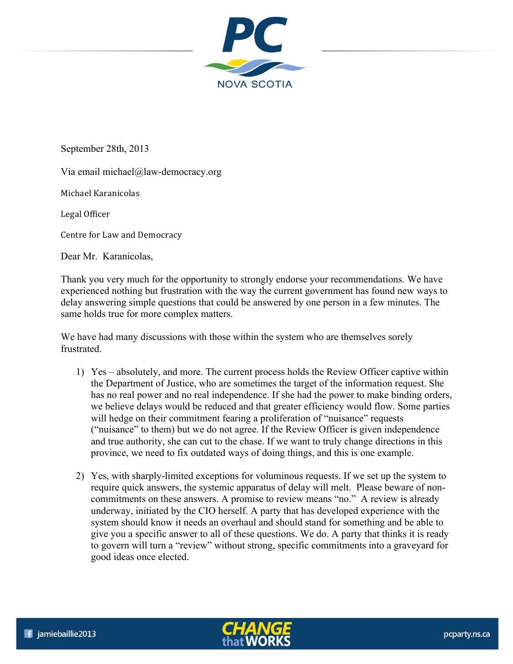

September 28th, 2013

Via email michael@law-democracy.org

Michael Karanicolas 

Legal Officer

Centre for Law and Democracy

Dear Mr. Karanicolas,

Thank you very much for the opportunity to strongly endorse your recommendations. We have experienced nothing but frustration with the way the current government has found new ways to delay answering simple questions that could be answered by one person in a few minutes. The same holds true for more complex matters.

We have had many discussions with those within the system who are themselves sorely frustrated.

- 1) Yes absolutely, and more. The current process holds the Review Officer captive within the Department of Justice, who are sometimes the target of the information request. She has no real power and no real independence. If she had the power to make binding orders, we believe delays would be reduced and that greater efficiency would flow. Some parties will hedge on their commitment fearing a proliferation of "nuisance" requests ("nuisance" to them) but we do not agree. If the Review Officer is given independence and true authority, she can cut to the chase. If we want to truly change directions in this province, we need to fix outdated ways of doing things, and this is one example.
- 2) Yes, with sharply-limited exceptions for voluminous requests. If we set up the system to require quick answers, the systemic apparatus of delay will melt. Please beware of noncommitments on these answers. A promise to review means "no." A review is already underway, initiated by the CIO herself. A party that has developed experience with the system should know it needs an overhaul and should stand for something and be able to give you a specific answer to all of these questions. We do. A party that thinks it is ready to govern will turn a "review" without strong, specific commitments into a graveyard for good ideas once elected.